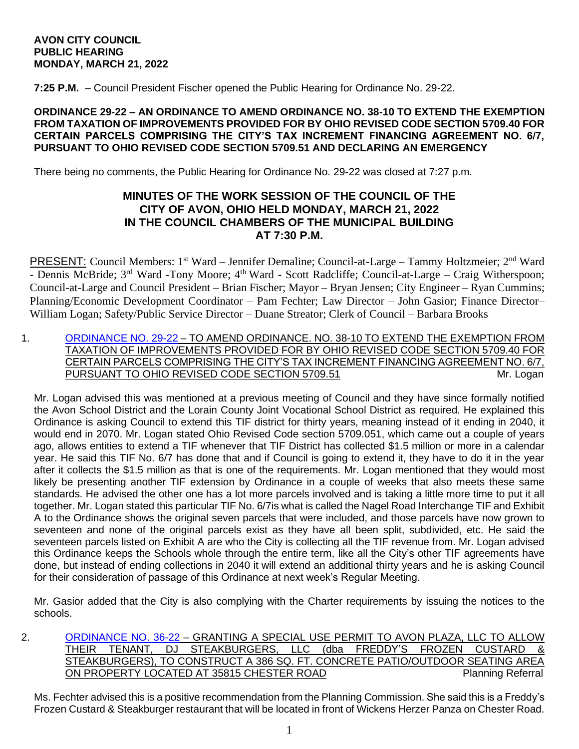### **AVON CITY COUNCIL PUBLIC HEARING MONDAY, MARCH 21, 2022**

**7:25 P.M.** – Council President Fischer opened the Public Hearing for Ordinance No. 29-22.

### **ORDINANCE 29-22 – AN ORDINANCE TO AMEND ORDINANCE NO. 38-10 TO EXTEND THE EXEMPTION FROM TAXATION OF IMPROVEMENTS PROVIDED FOR BY OHIO REVISED CODE SECTION 5709.40 FOR CERTAIN PARCELS COMPRISING THE CITY'S TAX INCREMENT FINANCING AGREEMENT NO. 6/7, PURSUANT TO OHIO REVISED CODE SECTION 5709.51 AND DECLARING AN EMERGENCY**

There being no comments, the Public Hearing for Ordinance No. 29-22 was closed at 7:27 p.m.

# **MINUTES OF THE WORK SESSION OF THE COUNCIL OF THE CITY OF AVON, OHIO HELD MONDAY, MARCH 21, 2022 IN THE COUNCIL CHAMBERS OF THE MUNICIPAL BUILDING AT 7:30 P.M.**

PRESENT: Council Members: 1<sup>st</sup> Ward – Jennifer Demaline; Council-at-Large – Tammy Holtzmeier; 2<sup>nd</sup> Ward - Dennis McBride; 3<sup>rd</sup> Ward -Tony Moore; 4<sup>th</sup> Ward - Scott Radcliffe; Council-at-Large – Craig Witherspoon; Council-at-Large and Council President – Brian Fischer; Mayor – Bryan Jensen; City Engineer – Ryan Cummins; Planning/Economic Development Coordinator – Pam Fechter; Law Director – John Gasior; Finance Director– William Logan; Safety/Public Service Director – Duane Streator; Clerk of Council – Barbara Brooks

1. [ORDINANCE NO. 29-22](https://www.cityofavon.com/DocumentCenter/View/7681/Ordinance-No-29-22-TIF-6-7-extended-3-11-22) – TO AMEND ORDINANCE. NO. 38-10 TO EXTEND THE EXEMPTION FROM TAXATION OF IMPROVEMENTS PROVIDED FOR BY OHIO REVISED CODE SECTION 5709.40 FOR CERTAIN PARCELS COMPRISING THE CITY'S TAX INCREMENT FINANCING AGREEMENT NO. 6/7, PURSUANT TO OHIO REVISED CODE SECTION 5709.51 MI. Logan

Mr. Logan advised this was mentioned at a previous meeting of Council and they have since formally notified the Avon School District and the Lorain County Joint Vocational School District as required. He explained this Ordinance is asking Council to extend this TIF district for thirty years, meaning instead of it ending in 2040, it would end in 2070. Mr. Logan stated Ohio Revised Code section 5709.051, which came out a couple of years ago, allows entities to extend a TIF whenever that TIF District has collected \$1.5 million or more in a calendar year. He said this TIF No. 6/7 has done that and if Council is going to extend it, they have to do it in the year after it collects the \$1.5 million as that is one of the requirements. Mr. Logan mentioned that they would most likely be presenting another TIF extension by Ordinance in a couple of weeks that also meets these same standards. He advised the other one has a lot more parcels involved and is taking a little more time to put it all together. Mr. Logan stated this particular TIF No. 6/7is what is called the Nagel Road Interchange TIF and Exhibit A to the Ordinance shows the original seven parcels that were included, and those parcels have now grown to seventeen and none of the original parcels exist as they have all been split, subdivided, etc. He said the seventeen parcels listed on Exhibit A are who the City is collecting all the TIF revenue from. Mr. Logan advised this Ordinance keeps the Schools whole through the entire term, like all the City's other TIF agreements have done, but instead of ending collections in 2040 it will extend an additional thirty years and he is asking Council for their consideration of passage of this Ordinance at next week's Regular Meeting.

Mr. Gasior added that the City is also complying with the Charter requirements by issuing the notices to the schools.

2. [ORDINANCE NO. 36-22](https://www.cityofavon.com/DocumentCenter/View/7689/Ordinance-No-36-22---SUP---Avon-Plaza---Freddys-Frozen-Custard) – GRANTING A SPECIAL USE PERMIT TO AVON PLAZA, LLC TO ALLOW THEIR TENANT, DJ STEAKBURGERS, LLC (dba FREDDY'S FROZEN CUSTARD & STEAKBURGERS), TO CONSTRUCT A 386 SQ. FT. CONCRETE PATIO/OUTDOOR SEATING AREA ON PROPERTY LOCATED AT 35815 CHESTER ROAD Planning Referral

Ms. Fechter advised this is a positive recommendation from the Planning Commission. She said this is a Freddy's Frozen Custard & Steakburger restaurant that will be located in front of Wickens Herzer Panza on Chester Road.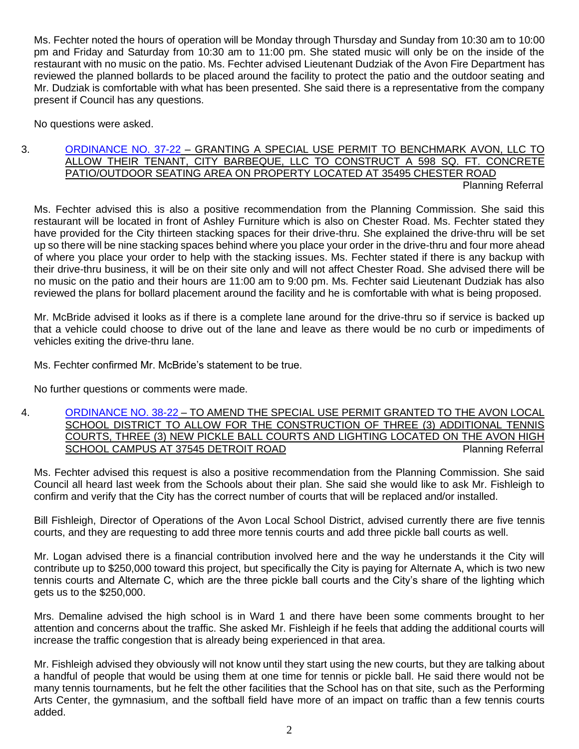Ms. Fechter noted the hours of operation will be Monday through Thursday and Sunday from 10:30 am to 10:00 pm and Friday and Saturday from 10:30 am to 11:00 pm. She stated music will only be on the inside of the restaurant with no music on the patio. Ms. Fechter advised Lieutenant Dudziak of the Avon Fire Department has reviewed the planned bollards to be placed around the facility to protect the patio and the outdoor seating and Mr. Dudziak is comfortable with what has been presented. She said there is a representative from the company present if Council has any questions.

No questions were asked.

### 3. [ORDINANCE NO. 37-22](https://www.cityofavon.com/DocumentCenter/View/7691/Ordinance-No-37-22---SUP---City-Barbecue) – GRANTING A SPECIAL USE PERMIT TO BENCHMARK AVON, LLC TO ALLOW THEIR TENANT, CITY BARBEQUE, LLC TO CONSTRUCT A 598 SQ. FT. CONCRETE PATIO/OUTDOOR SEATING AREA ON PROPERTY LOCATED AT 35495 CHESTER ROAD Planning Referral

Ms. Fechter advised this is also a positive recommendation from the Planning Commission. She said this restaurant will be located in front of Ashley Furniture which is also on Chester Road. Ms. Fechter stated they have provided for the City thirteen stacking spaces for their drive-thru. She explained the drive-thru will be set up so there will be nine stacking spaces behind where you place your order in the drive-thru and four more ahead of where you place your order to help with the stacking issues. Ms. Fechter stated if there is any backup with their drive-thru business, it will be on their site only and will not affect Chester Road. She advised there will be no music on the patio and their hours are 11:00 am to 9:00 pm. Ms. Fechter said Lieutenant Dudziak has also reviewed the plans for bollard placement around the facility and he is comfortable with what is being proposed.

Mr. McBride advised it looks as if there is a complete lane around for the drive-thru so if service is backed up that a vehicle could choose to drive out of the lane and leave as there would be no curb or impediments of vehicles exiting the drive-thru lane.

Ms. Fechter confirmed Mr. McBride's statement to be true.

No further questions or comments were made.

4. [ORDINANCE NO. 38-22](https://www.cityofavon.com/DocumentCenter/View/7693/Ordinance-No-38-22---Amend-SUP-for--High-Schl-Tennis-Pickle-Ball-Cts---Lighting) – TO AMEND THE SPECIAL USE PERMIT GRANTED TO THE AVON LOCAL SCHOOL DISTRICT TO ALLOW FOR THE CONSTRUCTION OF THREE (3) ADDITIONAL TENNIS COURTS, THREE (3) NEW PICKLE BALL COURTS AND LIGHTING LOCATED ON THE AVON HIGH SCHOOL CAMPUS AT 37545 DETROIT ROAD Planning Referral

Ms. Fechter advised this request is also a positive recommendation from the Planning Commission. She said Council all heard last week from the Schools about their plan. She said she would like to ask Mr. Fishleigh to confirm and verify that the City has the correct number of courts that will be replaced and/or installed.

Bill Fishleigh, Director of Operations of the Avon Local School District, advised currently there are five tennis courts, and they are requesting to add three more tennis courts and add three pickle ball courts as well.

Mr. Logan advised there is a financial contribution involved here and the way he understands it the City will contribute up to \$250,000 toward this project, but specifically the City is paying for Alternate A, which is two new tennis courts and Alternate C, which are the three pickle ball courts and the City's share of the lighting which gets us to the \$250,000.

Mrs. Demaline advised the high school is in Ward 1 and there have been some comments brought to her attention and concerns about the traffic. She asked Mr. Fishleigh if he feels that adding the additional courts will increase the traffic congestion that is already being experienced in that area.

Mr. Fishleigh advised they obviously will not know until they start using the new courts, but they are talking about a handful of people that would be using them at one time for tennis or pickle ball. He said there would not be many tennis tournaments, but he felt the other facilities that the School has on that site, such as the Performing Arts Center, the gymnasium, and the softball field have more of an impact on traffic than a few tennis courts added.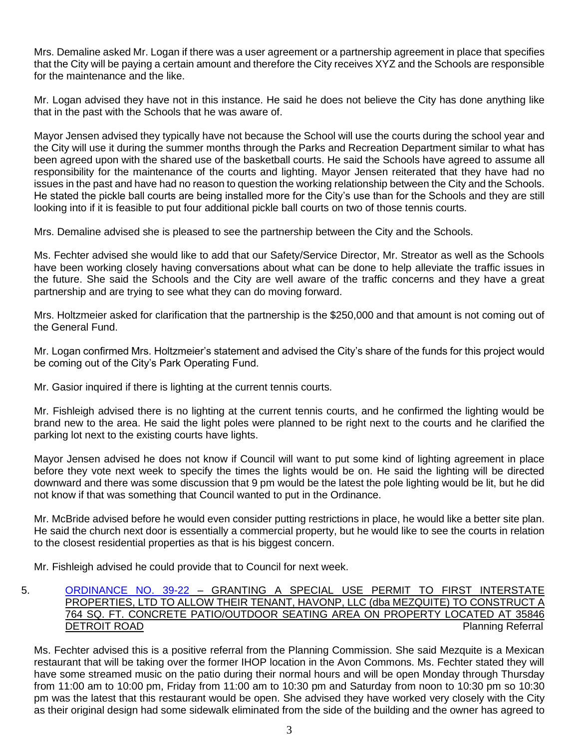Mrs. Demaline asked Mr. Logan if there was a user agreement or a partnership agreement in place that specifies that the City will be paying a certain amount and therefore the City receives XYZ and the Schools are responsible for the maintenance and the like.

Mr. Logan advised they have not in this instance. He said he does not believe the City has done anything like that in the past with the Schools that he was aware of.

Mayor Jensen advised they typically have not because the School will use the courts during the school year and the City will use it during the summer months through the Parks and Recreation Department similar to what has been agreed upon with the shared use of the basketball courts. He said the Schools have agreed to assume all responsibility for the maintenance of the courts and lighting. Mayor Jensen reiterated that they have had no issues in the past and have had no reason to question the working relationship between the City and the Schools. He stated the pickle ball courts are being installed more for the City's use than for the Schools and they are still looking into if it is feasible to put four additional pickle ball courts on two of those tennis courts.

Mrs. Demaline advised she is pleased to see the partnership between the City and the Schools.

Ms. Fechter advised she would like to add that our Safety/Service Director, Mr. Streator as well as the Schools have been working closely having conversations about what can be done to help alleviate the traffic issues in the future. She said the Schools and the City are well aware of the traffic concerns and they have a great partnership and are trying to see what they can do moving forward.

Mrs. Holtzmeier asked for clarification that the partnership is the \$250,000 and that amount is not coming out of the General Fund.

Mr. Logan confirmed Mrs. Holtzmeier's statement and advised the City's share of the funds for this project would be coming out of the City's Park Operating Fund.

Mr. Gasior inquired if there is lighting at the current tennis courts.

Mr. Fishleigh advised there is no lighting at the current tennis courts, and he confirmed the lighting would be brand new to the area. He said the light poles were planned to be right next to the courts and he clarified the parking lot next to the existing courts have lights.

Mayor Jensen advised he does not know if Council will want to put some kind of lighting agreement in place before they vote next week to specify the times the lights would be on. He said the lighting will be directed downward and there was some discussion that 9 pm would be the latest the pole lighting would be lit, but he did not know if that was something that Council wanted to put in the Ordinance.

Mr. McBride advised before he would even consider putting restrictions in place, he would like a better site plan. He said the church next door is essentially a commercial property, but he would like to see the courts in relation to the closest residential properties as that is his biggest concern.

Mr. Fishleigh advised he could provide that to Council for next week.

## 5. [ORDINANCE NO. 39-22](https://www.cityofavon.com/DocumentCenter/View/7695/Ordinance-No-39-22-SUP---First-Interstate---Havonp-LLC----Mezquite---SUP) - GRANTING A SPECIAL USE PERMIT TO FIRST INTERSTATE PROPERTIES, LTD TO ALLOW THEIR TENANT, HAVONP, LLC (dba MEZQUITE) TO CONSTRUCT A 764 SQ. FT. CONCRETE PATIO/OUTDOOR SEATING AREA ON PROPERTY LOCATED AT 35846 Planning Referral

Ms. Fechter advised this is a positive referral from the Planning Commission. She said Mezquite is a Mexican restaurant that will be taking over the former IHOP location in the Avon Commons. Ms. Fechter stated they will have some streamed music on the patio during their normal hours and will be open Monday through Thursday from 11:00 am to 10:00 pm, Friday from 11:00 am to 10:30 pm and Saturday from noon to 10:30 pm so 10:30 pm was the latest that this restaurant would be open. She advised they have worked very closely with the City as their original design had some sidewalk eliminated from the side of the building and the owner has agreed to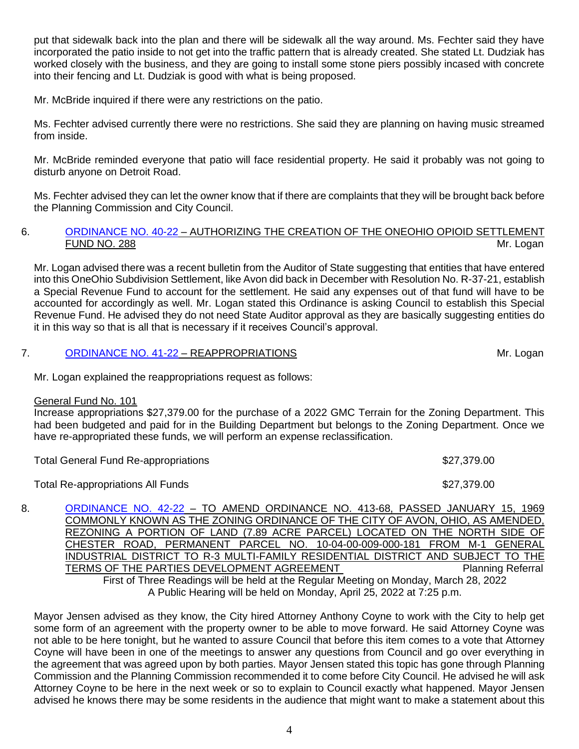put that sidewalk back into the plan and there will be sidewalk all the way around. Ms. Fechter said they have incorporated the patio inside to not get into the traffic pattern that is already created. She stated Lt. Dudziak has worked closely with the business, and they are going to install some stone piers possibly incased with concrete into their fencing and Lt. Dudziak is good with what is being proposed.

Mr. McBride inquired if there were any restrictions on the patio.

Ms. Fechter advised currently there were no restrictions. She said they are planning on having music streamed from inside.

Mr. McBride reminded everyone that patio will face residential property. He said it probably was not going to disturb anyone on Detroit Road.

Ms. Fechter advised they can let the owner know that if there are complaints that they will be brought back before the Planning Commission and City Council.

### 6. [ORDINANCE NO. 40-22](https://www.cityofavon.com/DocumentCenter/View/7696/Ordinance-No-40-22-OneOhio-Opioid-Settlement-Fund-No-288) - AUTHORIZING THE CREATION OF THE ONEOHIO OPIOID SETTLEMENT FUND NO. 288 Mr. Logan

Mr. Logan advised there was a recent bulletin from the Auditor of State suggesting that entities that have entered into this OneOhio Subdivision Settlement, like Avon did back in December with Resolution No. R-37-21, establish a Special Revenue Fund to account for the settlement. He said any expenses out of that fund will have to be accounted for accordingly as well. Mr. Logan stated this Ordinance is asking Council to establish this Special Revenue Fund. He advised they do not need State Auditor approval as they are basically suggesting entities do it in this way so that is all that is necessary if it receives Council's approval.

### 7. [ORDINANCE NO. 41-22](https://www.cityofavon.com/DocumentCenter/View/7685/Ordinance-No-41-22---Reappropriations) – REAPPROPRIATIONS **Mr. Logan**

Mr. Logan explained the reappropriations request as follows:

#### General Fund No. 101

Increase appropriations \$27,379.00 for the purchase of a 2022 GMC Terrain for the Zoning Department. This had been budgeted and paid for in the Building Department but belongs to the Zoning Department. Once we have re-appropriated these funds, we will perform an expense reclassification.

| <b>Total General Fund Re-appropriations</b> | \$27,379.00 |
|---------------------------------------------|-------------|
| <b>Total Re-appropriations All Funds</b>    | \$27,379.00 |

8. [ORDINANCE NO. 42-22](https://www.cityofavon.com/DocumentCenter/View/7699/Ordinance-No-42-22---Rezoning---Concord-Village---Final) – TO AMEND ORDINANCE NO. 413-68, PASSED JANUARY 15, 1969 COMMONLY KNOWN AS THE ZONING ORDINANCE OF THE CITY OF AVON, OHIO, AS AMENDED, REZONING A PORTION OF LAND (7.89 ACRE PARCEL) LOCATED ON THE NORTH SIDE OF CHESTER ROAD, PERMANENT PARCEL NO. 10-04-00-009-000-181 FROM M-1 GENERAL INDUSTRIAL DISTRICT TO R-3 MULTI-FAMILY RESIDENTIAL DISTRICT AND SUBJECT TO THE TERMS OF THE PARTIES DEVELOPMENT AGREEMENT PLANNING Planning Referral First of Three Readings will be held at the Regular Meeting on Monday, March 28, 2022 A Public Hearing will be held on Monday, April 25, 2022 at 7:25 p.m.

Mayor Jensen advised as they know, the City hired Attorney Anthony Coyne to work with the City to help get some form of an agreement with the property owner to be able to move forward. He said Attorney Coyne was not able to be here tonight, but he wanted to assure Council that before this item comes to a vote that Attorney Coyne will have been in one of the meetings to answer any questions from Council and go over everything in the agreement that was agreed upon by both parties. Mayor Jensen stated this topic has gone through Planning Commission and the Planning Commission recommended it to come before City Council. He advised he will ask Attorney Coyne to be here in the next week or so to explain to Council exactly what happened. Mayor Jensen advised he knows there may be some residents in the audience that might want to make a statement about this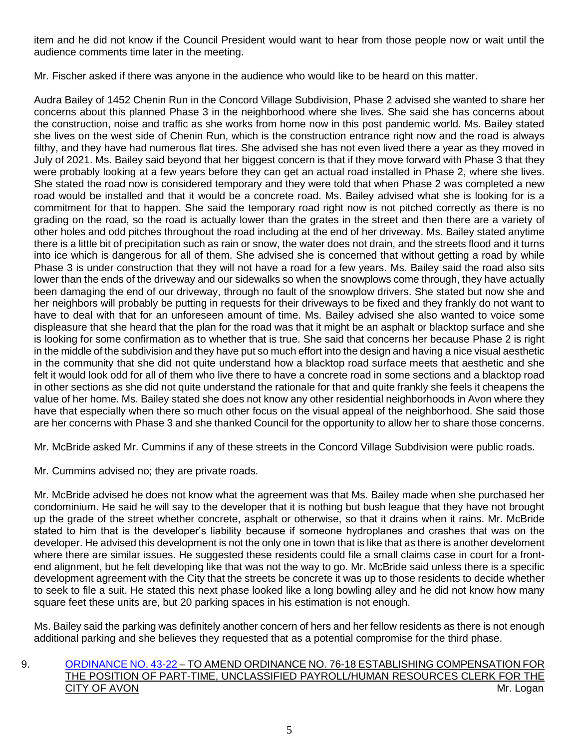item and he did not know if the Council President would want to hear from those people now or wait until the audience comments time later in the meeting.

Mr. Fischer asked if there was anyone in the audience who would like to be heard on this matter.

Audra Bailey of 1452 Chenin Run in the Concord Village Subdivision, Phase 2 advised she wanted to share her concerns about this planned Phase 3 in the neighborhood where she lives. She said she has concerns about the construction, noise and traffic as she works from home now in this post pandemic world. Ms. Bailey stated she lives on the west side of Chenin Run, which is the construction entrance right now and the road is always filthy, and they have had numerous flat tires. She advised she has not even lived there a year as they moved in July of 2021. Ms. Bailey said beyond that her biggest concern is that if they move forward with Phase 3 that they were probably looking at a few years before they can get an actual road installed in Phase 2, where she lives. She stated the road now is considered temporary and they were told that when Phase 2 was completed a new road would be installed and that it would be a concrete road. Ms. Bailey advised what she is looking for is a commitment for that to happen. She said the temporary road right now is not pitched correctly as there is no grading on the road, so the road is actually lower than the grates in the street and then there are a variety of other holes and odd pitches throughout the road including at the end of her driveway. Ms. Bailey stated anytime there is a little bit of precipitation such as rain or snow, the water does not drain, and the streets flood and it turns into ice which is dangerous for all of them. She advised she is concerned that without getting a road by while Phase 3 is under construction that they will not have a road for a few years. Ms. Bailey said the road also sits lower than the ends of the driveway and our sidewalks so when the snowplows come through, they have actually been damaging the end of our driveway, through no fault of the snowplow drivers. She stated but now she and her neighbors will probably be putting in requests for their driveways to be fixed and they frankly do not want to have to deal with that for an unforeseen amount of time. Ms. Bailey advised she also wanted to voice some displeasure that she heard that the plan for the road was that it might be an asphalt or blacktop surface and she is looking for some confirmation as to whether that is true. She said that concerns her because Phase 2 is right in the middle of the subdivision and they have put so much effort into the design and having a nice visual aesthetic in the community that she did not quite understand how a blacktop road surface meets that aesthetic and she felt it would look odd for all of them who live there to have a concrete road in some sections and a blacktop road in other sections as she did not quite understand the rationale for that and quite frankly she feels it cheapens the value of her home. Ms. Bailey stated she does not know any other residential neighborhoods in Avon where they have that especially when there so much other focus on the visual appeal of the neighborhood. She said those are her concerns with Phase 3 and she thanked Council for the opportunity to allow her to share those concerns.

Mr. McBride asked Mr. Cummins if any of these streets in the Concord Village Subdivision were public roads.

Mr. Cummins advised no; they are private roads.

Mr. McBride advised he does not know what the agreement was that Ms. Bailey made when she purchased her condominium. He said he will say to the developer that it is nothing but bush league that they have not brought up the grade of the street whether concrete, asphalt or otherwise, so that it drains when it rains. Mr. McBride stated to him that is the developer's liability because if someone hydroplanes and crashes that was on the developer. He advised this development is not the only one in town that is like that as there is another develoment where there are similar issues. He suggested these residents could file a small claims case in court for a frontend alignment, but he felt developing like that was not the way to go. Mr. McBride said unless there is a specific development agreement with the City that the streets be concrete it was up to those residents to decide whether to seek to file a suit. He stated this next phase looked like a long bowling alley and he did not know how many square feet these units are, but 20 parking spaces in his estimation is not enough.

Ms. Bailey said the parking was definitely another concern of hers and her fellow residents as there is not enough additional parking and she believes they requested that as a potential compromise for the third phase.

## 9. [ORDINANCE NO. 43-22](https://www.cityofavon.com/DocumentCenter/View/7700/Ordinance-No-43-22-Amend-PT-Payroll-HR-Clerk--Pay) – TO AMEND ORDINANCE NO. 76-18 ESTABLISHING COMPENSATION FOR THE POSITION OF PART-TIME, UNCLASSIFIED PAYROLL/HUMAN RESOURCES CLERK FOR THE CITY OF AVON Mr. Logan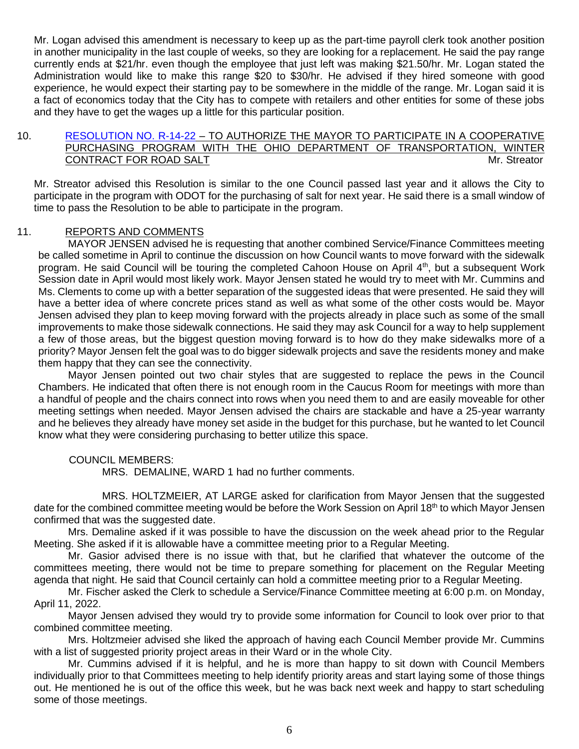Mr. Logan advised this amendment is necessary to keep up as the part-time payroll clerk took another position in another municipality in the last couple of weeks, so they are looking for a replacement. He said the pay range currently ends at \$21/hr. even though the employee that just left was making \$21.50/hr. Mr. Logan stated the Administration would like to make this range \$20 to \$30/hr. He advised if they hired someone with good experience, he would expect their starting pay to be somewhere in the middle of the range. Mr. Logan said it is a fact of economics today that the City has to compete with retailers and other entities for some of these jobs and they have to get the wages up a little for this particular position.

## 10. [RESOLUTION NO. R-14-22](https://www.cityofavon.com/DocumentCenter/View/7702/Resolution-No-R-14-22-ODOT---Road-Salt---2022) – TO AUTHORIZE THE MAYOR TO PARTICIPATE IN A COOPERATIVE PURCHASING PROGRAM WITH THE OHIO DEPARTMENT OF TRANSPORTATION, WINTER CONTRACT FOR ROAD SALT **Mr. Streator** Mr. Streator

Mr. Streator advised this Resolution is similar to the one Council passed last year and it allows the City to participate in the program with ODOT for the purchasing of salt for next year. He said there is a small window of time to pass the Resolution to be able to participate in the program.

## 11. REPORTS AND COMMENTS

MAYOR JENSEN advised he is requesting that another combined Service/Finance Committees meeting be called sometime in April to continue the discussion on how Council wants to move forward with the sidewalk program. He said Council will be touring the completed Cahoon House on April 4<sup>th</sup>, but a subsequent Work Session date in April would most likely work. Mayor Jensen stated he would try to meet with Mr. Cummins and Ms. Clements to come up with a better separation of the suggested ideas that were presented. He said they will have a better idea of where concrete prices stand as well as what some of the other costs would be. Mayor Jensen advised they plan to keep moving forward with the projects already in place such as some of the small improvements to make those sidewalk connections. He said they may ask Council for a way to help supplement a few of those areas, but the biggest question moving forward is to how do they make sidewalks more of a priority? Mayor Jensen felt the goal was to do bigger sidewalk projects and save the residents money and make them happy that they can see the connectivity.

Mayor Jensen pointed out two chair styles that are suggested to replace the pews in the Council Chambers. He indicated that often there is not enough room in the Caucus Room for meetings with more than a handful of people and the chairs connect into rows when you need them to and are easily moveable for other meeting settings when needed. Mayor Jensen advised the chairs are stackable and have a 25-year warranty and he believes they already have money set aside in the budget for this purchase, but he wanted to let Council know what they were considering purchasing to better utilize this space.

## COUNCIL MEMBERS:

MRS. DEMALINE, WARD 1 had no further comments.

MRS. HOLTZMEIER, AT LARGE asked for clarification from Mayor Jensen that the suggested date for the combined committee meeting would be before the Work Session on April 18<sup>th</sup> to which Mayor Jensen confirmed that was the suggested date.

Mrs. Demaline asked if it was possible to have the discussion on the week ahead prior to the Regular Meeting. She asked if it is allowable have a committee meeting prior to a Regular Meeting.

Mr. Gasior advised there is no issue with that, but he clarified that whatever the outcome of the committees meeting, there would not be time to prepare something for placement on the Regular Meeting agenda that night. He said that Council certainly can hold a committee meeting prior to a Regular Meeting.

Mr. Fischer asked the Clerk to schedule a Service/Finance Committee meeting at 6:00 p.m. on Monday, April 11, 2022.

Mayor Jensen advised they would try to provide some information for Council to look over prior to that combined committee meeting.

Mrs. Holtzmeier advised she liked the approach of having each Council Member provide Mr. Cummins with a list of suggested priority project areas in their Ward or in the whole City.

Mr. Cummins advised if it is helpful, and he is more than happy to sit down with Council Members individually prior to that Committees meeting to help identify priority areas and start laying some of those things out. He mentioned he is out of the office this week, but he was back next week and happy to start scheduling some of those meetings.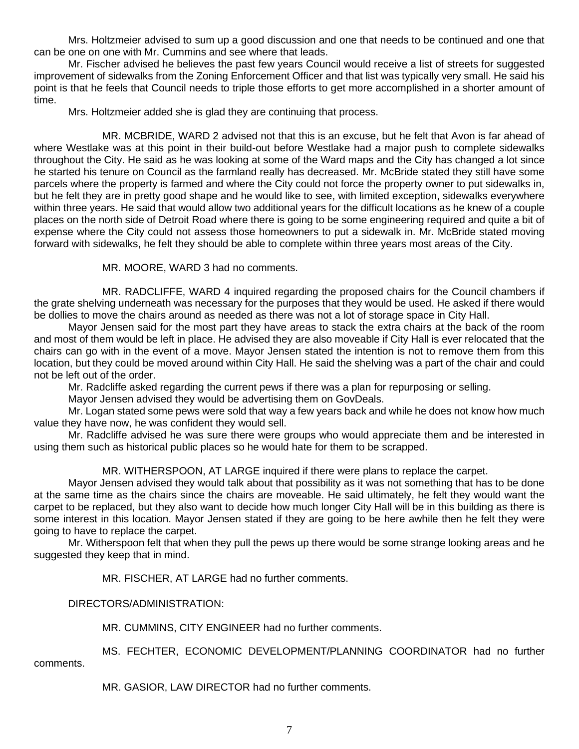Mrs. Holtzmeier advised to sum up a good discussion and one that needs to be continued and one that can be one on one with Mr. Cummins and see where that leads.

Mr. Fischer advised he believes the past few years Council would receive a list of streets for suggested improvement of sidewalks from the Zoning Enforcement Officer and that list was typically very small. He said his point is that he feels that Council needs to triple those efforts to get more accomplished in a shorter amount of time.

Mrs. Holtzmeier added she is glad they are continuing that process.

MR. MCBRIDE, WARD 2 advised not that this is an excuse, but he felt that Avon is far ahead of where Westlake was at this point in their build-out before Westlake had a major push to complete sidewalks throughout the City. He said as he was looking at some of the Ward maps and the City has changed a lot since he started his tenure on Council as the farmland really has decreased. Mr. McBride stated they still have some parcels where the property is farmed and where the City could not force the property owner to put sidewalks in, but he felt they are in pretty good shape and he would like to see, with limited exception, sidewalks everywhere within three years. He said that would allow two additional years for the difficult locations as he knew of a couple places on the north side of Detroit Road where there is going to be some engineering required and quite a bit of expense where the City could not assess those homeowners to put a sidewalk in. Mr. McBride stated moving forward with sidewalks, he felt they should be able to complete within three years most areas of the City.

MR. MOORE, WARD 3 had no comments.

MR. RADCLIFFE, WARD 4 inquired regarding the proposed chairs for the Council chambers if the grate shelving underneath was necessary for the purposes that they would be used. He asked if there would be dollies to move the chairs around as needed as there was not a lot of storage space in City Hall.

Mayor Jensen said for the most part they have areas to stack the extra chairs at the back of the room and most of them would be left in place. He advised they are also moveable if City Hall is ever relocated that the chairs can go with in the event of a move. Mayor Jensen stated the intention is not to remove them from this location, but they could be moved around within City Hall. He said the shelving was a part of the chair and could not be left out of the order.

Mr. Radcliffe asked regarding the current pews if there was a plan for repurposing or selling.

Mayor Jensen advised they would be advertising them on GovDeals.

Mr. Logan stated some pews were sold that way a few years back and while he does not know how much value they have now, he was confident they would sell.

Mr. Radcliffe advised he was sure there were groups who would appreciate them and be interested in using them such as historical public places so he would hate for them to be scrapped.

## MR. WITHERSPOON, AT LARGE inquired if there were plans to replace the carpet.

Mayor Jensen advised they would talk about that possibility as it was not something that has to be done at the same time as the chairs since the chairs are moveable. He said ultimately, he felt they would want the carpet to be replaced, but they also want to decide how much longer City Hall will be in this building as there is some interest in this location. Mayor Jensen stated if they are going to be here awhile then he felt they were going to have to replace the carpet.

Mr. Witherspoon felt that when they pull the pews up there would be some strange looking areas and he suggested they keep that in mind.

MR. FISCHER, AT LARGE had no further comments.

DIRECTORS/ADMINISTRATION:

MR. CUMMINS, CITY ENGINEER had no further comments.

MS. FECHTER, ECONOMIC DEVELOPMENT/PLANNING COORDINATOR had no further

comments.

MR. GASIOR, LAW DIRECTOR had no further comments.